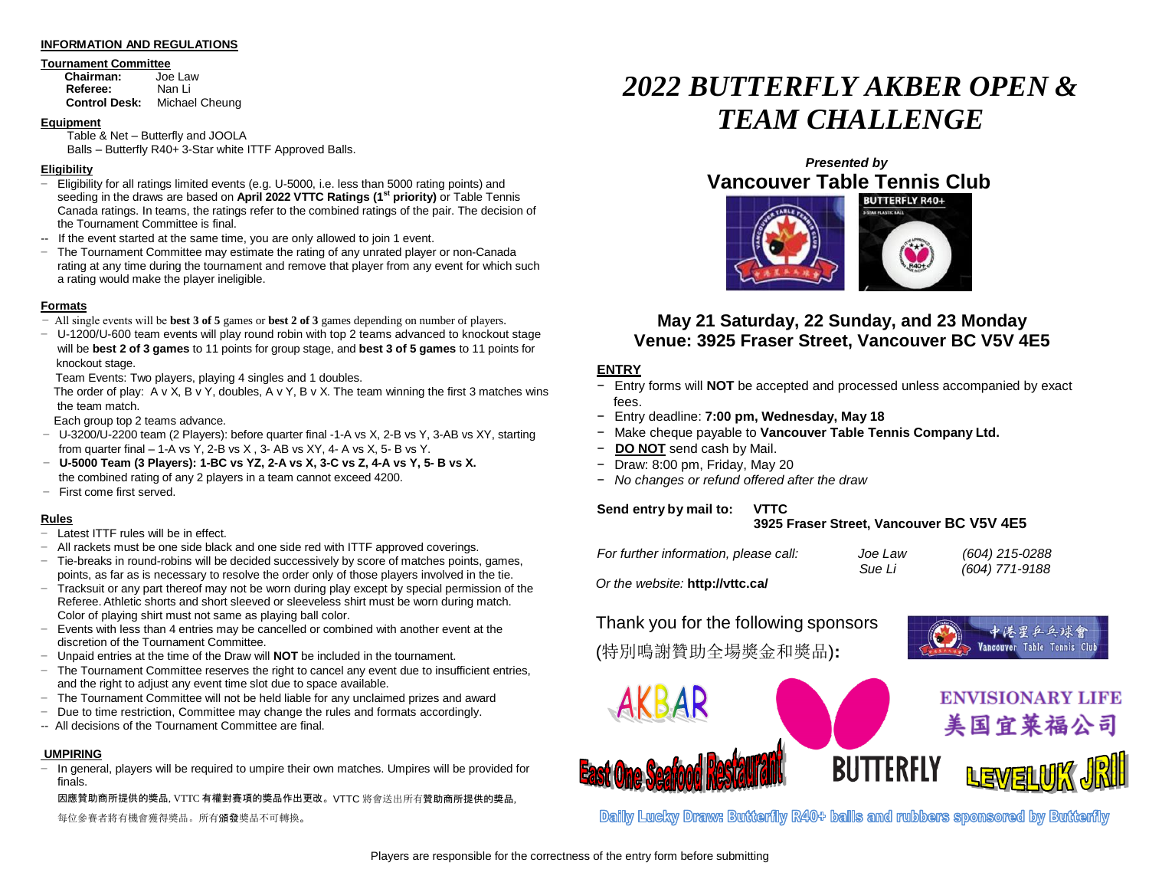#### **INFORMATION AND REGULATIONS**

## **Tournament Committee**<br> **Chairman:** Joe Law

**Chairman:** Joe Law<br> **Referee:** Nan Li **Referee: Control Desk:** Michael Cheung

#### **Equipment**

Table & Net – Butterfly and JOOLA Balls – Butterfly R40+ 3-Star white ITTF Approved Balls.

#### **Eligibility**

- − Eligibility for all ratings limited events (e.g. U-5000, i.e. less than 5000 rating points) and seeding in the draws are based on **April 2022 VTTC Ratings (1st priority)** or Table Tennis Canada ratings. In teams, the ratings refer to the combined ratings of the pair. The decision of the Tournament Committee is final.
- -- If the event started at the same time, you are only allowed to join 1 event.
- − The Tournament Committee may estimate the rating of any unrated player or non-Canada rating at any time during the tournament and remove that player from any event for which such a rating would make the player ineligible.

#### **Formats**

- − All single events will be **best 3 of 5** games or **best 2 of 3** games depending on number of players.
- − U-1200/U-600 team events will play round robin with top 2 teams advanced to knockout stage will be **best 2 of 3 games** to 11 points for group stage, and **best 3 of 5 games** to 11 points for knockout stage.

Team Events: Two players, playing 4 singles and 1 doubles.

The order of play:  $A \vee X$ ,  $B \vee Y$ , doubles,  $A \vee Y$ ,  $B \vee X$ . The team winning the first 3 matches wins the team match.

Each group top 2 teams advance.

- − U-3200/U-2200 team (2 Players): before quarter final -1-A vs X, 2-B vs Y, 3-AB vs XY, starting from quarter final  $-1-A$  vs Y, 2-B vs X, 3-AB vs XY, 4-A vs X, 5-B vs Y,
- − **U-5000 Team (3 Players): 1-BC vs YZ, 2-A vs X, 3-C vs Z, 4-A vs Y, 5- B vs X.** the combined rating of any 2 players in a team cannot exceed 4200.
- − First come first served.

### **Rules**

- − Latest ITTF rules will be in effect.
- − All rackets must be one side black and one side red with ITTF approved coverings.
- − Tie-breaks in round-robins will be decided successively by score of matches points, games, points, as far as is necessary to resolve the order only of those players involved in the tie.
- − Tracksuit or any part thereof may not be worn during play except by special permission of the Referee. Athletic shorts and short sleeved or sleeveless shirt must be worn during match. Color of playing shirt must not same as playing ball color.
- − Events with less than 4 entries may be cancelled or combined with another event at the discretion of the Tournament Committee.
- − Unpaid entries at the time of the Draw will **NOT** be included in the tournament.
- − The Tournament Committee reserves the right to cancel any event due to insufficient entries, and the right to adjust any event time slot due to space available.
- − The Tournament Committee will not be held liable for any unclaimed prizes and award
- − Due to time restriction, Committee may change the rules and formats accordingly.
- -- All decisions of the Tournament Committee are final.

### **UMPIRING**

− In general, players will be required to umpire their own matches. Umpires will be provided for finals.

因應贊助商所提供的獎品, VTTC 有權對賽項的獎品作出更改。VTTC 將會送出所有贊助商所提供的獎品, 每位參賽者將有機會獲得獎品。所有頒發獎品不可轉換。

# *2022 BUTTERFLY AKBER OPEN & TEAM CHALLENGE*

## *Presented by* **Vancouver Table Tennis Club**



### **May 21 Saturday, 22 Sunday, and 23 Monday Venue: 3925 Fraser Street, Vancouver BC V5V 4E5**

### **ENTRY**

- Entry forms will **NOT** be accepted and processed unless accompanied by exact fees.
- − Entry deadline: **7:00 pm, Wednesday, May 18**
- − Make cheque payable to **Vancouver Table Tennis Company Ltd.**
- − **DO NOT** send cash by Mail.
- − Draw: 8:00 pm, Friday, May 20
- − *No changes or refund offered after the draw*

### **Send entry by mail to: VTTC**

### **3925 Fraser Street, Vancouver BC V5V 4E5**

Vancouver Table Tennis Clu

| For further information, please call: | Joe Law | (604) 215-0288 |
|---------------------------------------|---------|----------------|
|                                       | Sue Li  | (604) 771-9188 |
| Or the website: http://vttc.ca/       |         |                |

Thank you for the following sponsors (特別鳴謝贊助全場獎金和獎品)**:**



Dailly Lucky Draw: Butterilly R40+ bails and rubbers sponsored by Butterilly